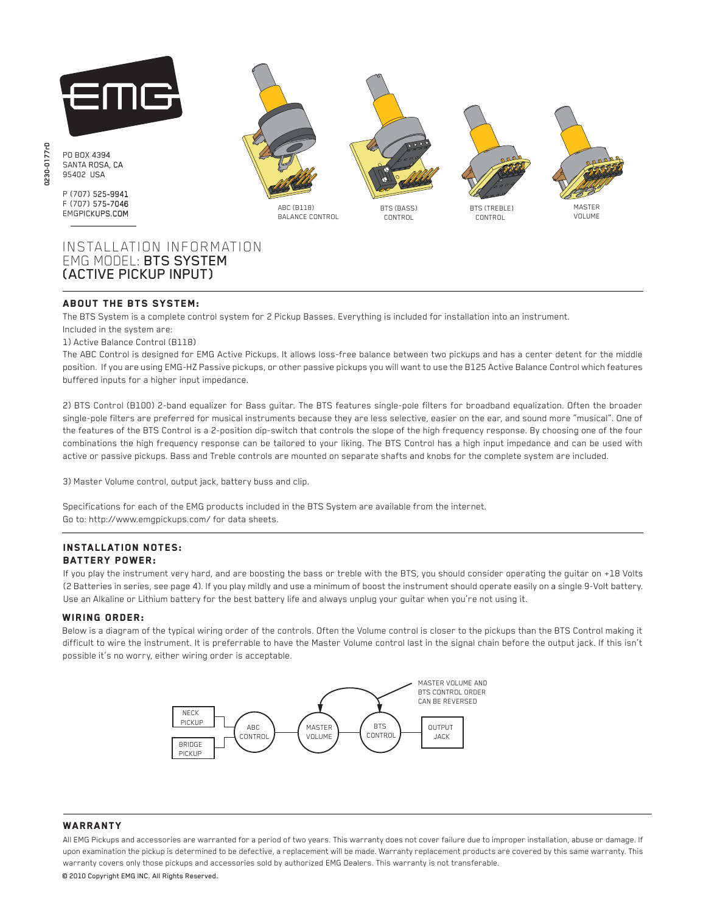

# INSTALLATION INFORMATION EMG MODEL: BTS SYSTEM (ACTIVE PICKUP INPUT)

# ABOUT THE BTS SYSTEM:

The BTS System is a complete control system for 2 Pickup Basses. Everything is included for installation into an instrument.

#### Included in the system are: 1) Active Balance Control (B118)

The ABC Control is designed for EMG Active Pickups. It allows loss-free balance between two pickups and has a center detent for the middle position. If you are using EMG-HZ Passive pickups, or other passive pickups you will want to use the B125 Active Balance Control which features buffered inputs for a higher input impedance.

2) BTS Control (B100) 2-band equalizer for Bass guitar. The BTS features single-pole filters for broadband equalization. Often the broader single-pole filters are preferred for musical instruments because they are less selective, easier on the ear, and sound more "musical". One of the features of the BTS Control is a 2-position dip-switch that controls the slope of the high frequency response. By choosing one of the four combinations the high frequency response can be tailored to your liking. The BTS Control has a high input impedance and can be used with active or passive pickups. Bass and Treble controls are mounted on separate shafts and knobs for the complete system are included.

3) Master Volume control, output jack, battery buss and clip.

Specifications for each of the EMG products included in the BTS System are available from the internet. Go to: http://www.emgpickups.com/ for data sheets.

#### Installation notes: Battery Power:

If you play the instrument very hard, and are boosting the bass or treble with the BTS, you should consider operating the guitar on +18 Volts (2 Batteries in series, see page 4). If you play mildly and use a minimum of boost the instrument should operate easily on a single 9-Volt battery. Use an Alkaline or Lithium battery for the best battery life and always unplug your guitar when you're not using it.

#### wiring order:

Below is a diagram of the typical wiring order of the controls. Often the Volume control is closer to the pickups than the BTS Control making it difficult to wire the instrument. It is preferrable to have the Master Volume control last in the signal chain before the output jack. If this isn't possible it's no worry, either wiring order is acceptable.



### **WARRANTY**

All EMG Pickups and accessories are warranted for a period of two years. This warranty does not cover failure due to improper installation, abuse or damage. If upon examination the pickup is determined to be defective, a replacement will be made. Warranty replacement products are covered by this same warranty. This warranty covers only those pickups and accessories sold by authorized EMG Dealers. This warranty is not transferable.

© 2010 Copyright EMG INC. All Rights Reserved.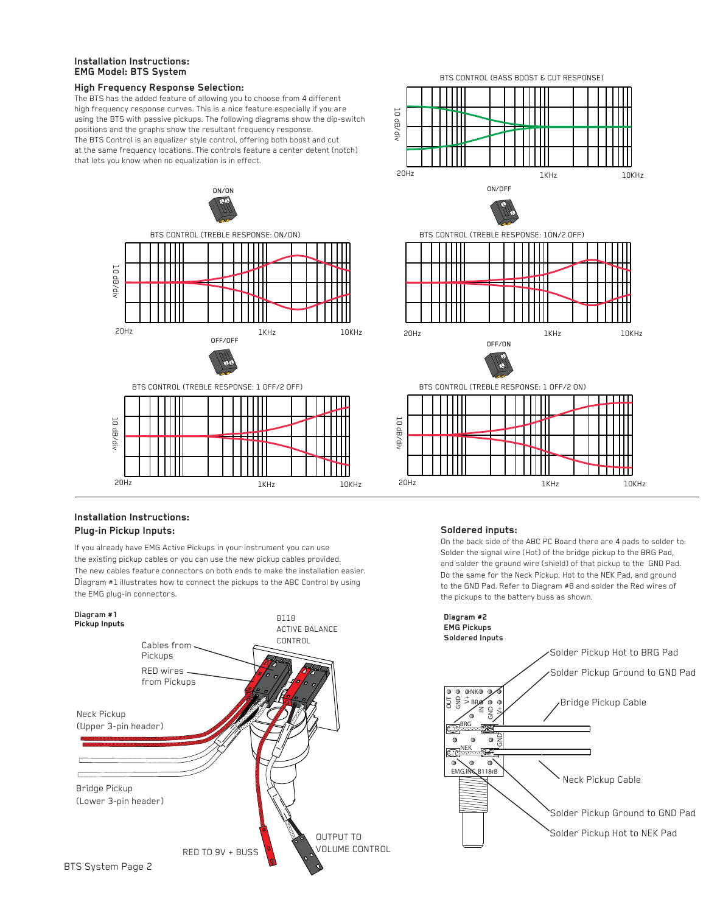# **Installation Instructions: EMG Model: BTS System**

# **High Frequency Response Selection:**

The BTS has the added feature of allowing you to choose from 4 different high frequency response curves. This is a nice feature especially if you are using the BTS with passive pickups. The following diagrams show the dip-switch positions and the graphs show the resultant frequency response. The BTS Control is an equalizer style control, offering both boost and cut at the same frequency locations. The controls feature a center detent (notch) that lets you know when no equalization is in effect.





# **Installation Instructions: Plug-in Pickup Inputs:**

If you already have EMG Active Pickups in your instrument you can use the existing pickup cables or you can use the new pickup cables provided. The new cables feature connectors on both ends to make the installation easier. Diagram #1 illustrates how to connect the pickups to the ABC Control by using the EMG plug-in connectors.



# **Soldered inputs:**

On the back side of the ABC PC Board there are 4 pads to solder to. Solder the signal wire (Hot) of the bridge pickup to the BRG Pad, and solder the ground wire (shield) of that pickup to the GND Pad. Do the same for the Neck Pickup, Hot to the NEK Pad, and ground to the GND Pad. Refer to Diagram #8 and solder the Red wires of the pickups to the battery buss as shown.

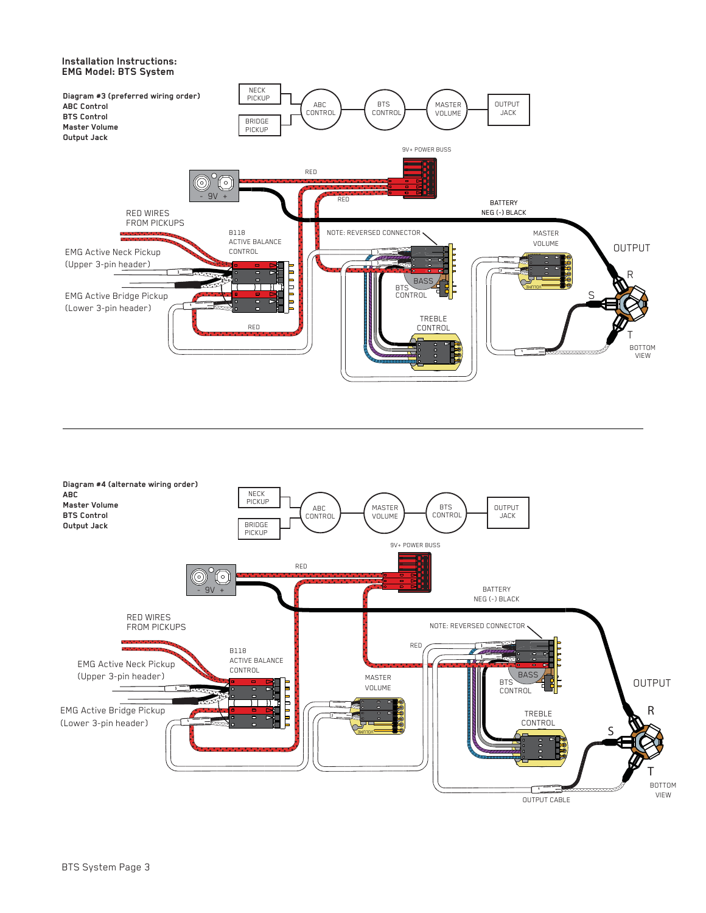# **Installation Instructions: EMG Model: BTS System**